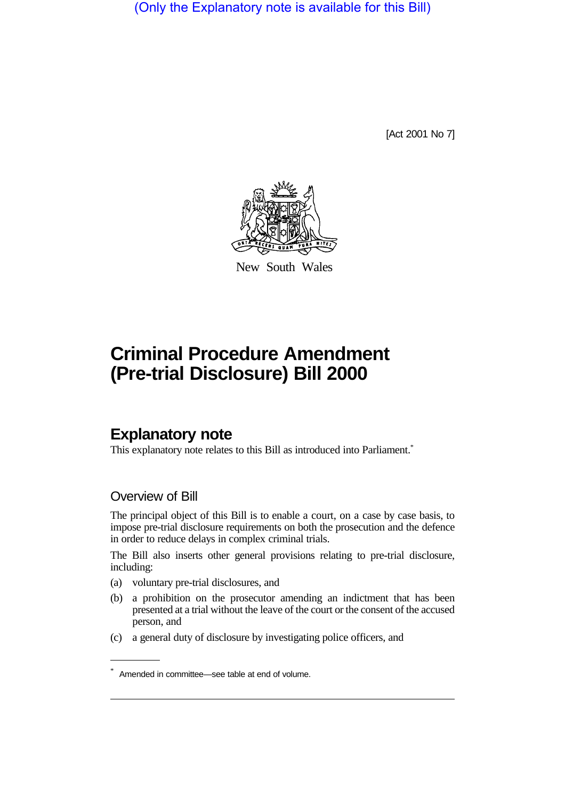(Only the Explanatory note is available for this Bill)

[Act 2001 No 7]



New South Wales

# **Criminal Procedure Amendment (Pre-trial Disclosure) Bill 2000**

# **Explanatory note**

This explanatory note relates to this Bill as introduced into Parliament.<sup>\*</sup>

#### Overview of Bill

The principal object of this Bill is to enable a court, on a case by case basis, to impose pre-trial disclosure requirements on both the prosecution and the defence in order to reduce delays in complex criminal trials.

The Bill also inserts other general provisions relating to pre-trial disclosure, including:

- (a) voluntary pre-trial disclosures, and
- (b) a prohibition on the prosecutor amending an indictment that has been presented at a trial without the leave of the court or the consent of the accused person, and
- (c) a general duty of disclosure by investigating police officers, and

<sup>\*</sup> Amended in committee—see table at end of volume.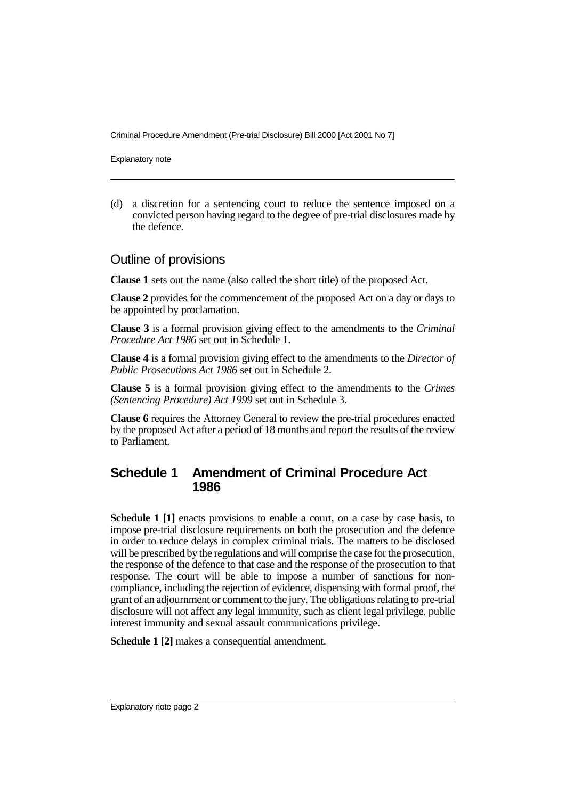Criminal Procedure Amendment (Pre-trial Disclosure) Bill 2000 [Act 2001 No 7]

Explanatory note

(d) a discretion for a sentencing court to reduce the sentence imposed on a convicted person having regard to the degree of pre-trial disclosures made by the defence.

#### Outline of provisions

**Clause 1** sets out the name (also called the short title) of the proposed Act.

**Clause 2** provides for the commencement of the proposed Act on a day or days to be appointed by proclamation.

**Clause 3** is a formal provision giving effect to the amendments to the *Criminal Procedure Act 1986* set out in Schedule 1.

**Clause 4** is a formal provision giving effect to the amendments to the *Director of Public Prosecutions Act 1986* set out in Schedule 2.

**Clause 5** is a formal provision giving effect to the amendments to the *Crimes (Sentencing Procedure) Act 1999* set out in Schedule 3.

**Clause 6** requires the Attorney General to review the pre-trial procedures enacted by the proposed Act after a period of 18 months and report the results of the review to Parliament.

#### **Schedule 1 Amendment of Criminal Procedure Act 1986**

**Schedule 1** [1] enacts provisions to enable a court, on a case by case basis, to impose pre-trial disclosure requirements on both the prosecution and the defence in order to reduce delays in complex criminal trials. The matters to be disclosed will be prescribed by the regulations and will comprise the case for the prosecution, the response of the defence to that case and the response of the prosecution to that response. The court will be able to impose a number of sanctions for noncompliance, including the rejection of evidence, dispensing with formal proof, the grant of an adjournment or comment to the jury. The obligations relating to pre-trial disclosure will not affect any legal immunity, such as client legal privilege, public interest immunity and sexual assault communications privilege.

**Schedule 1 [2]** makes a consequential amendment.